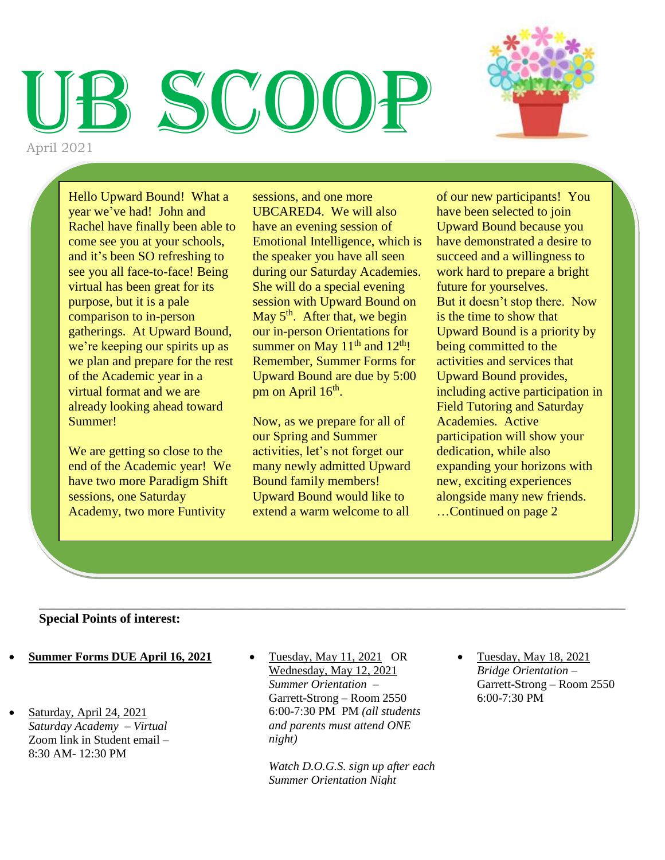## SCOO April 2021



Hello Upward Bound! What a year we've had! John and Rachel have finally been able to come see you at your schools, and it's been SO refreshing to see you all face-to-face! Being virtual has been great for its purpose, but it is a pale comparison to in-person gatherings. At Upward Bound, we're keeping our spirits up as we plan and prepare for the rest of the Academic year in a virtual format and we are already looking ahead toward Summer!

We are getting so close to the end of the Academic year! We have two more Paradigm Shift sessions, one Saturday Academy, two more Funtivity

sessions, and one more UBCARED4. We will also have an evening session of Emotional Intelligence, which is the speaker you have all seen during our Saturday Academies. She will do a special evening session with Upward Bound on May  $5<sup>th</sup>$ . After that, we begin our in-person Orientations for summer on May  $11<sup>th</sup>$  and  $12<sup>th</sup>$ ! Remember, Summer Forms for Upward Bound are due by 5:00 pm on April  $16<sup>th</sup>$ .

Now, as we prepare for all of our Spring and Summer activities, let's not forget our many newly admitted Upward Bound family members! Upward Bound would like to extend a warm welcome to all

of our new participants! You have been selected to join Upward Bound because you have demonstrated a desire to succeed and a willingness to work hard to prepare a bright future for yourselves. But it doesn't stop there. Now is the time to show that Upward Bound is a priority by being committed to the activities and services that Upward Bound provides, including active participation in Field Tutoring and Saturday Academies. Active participation will show your dedication, while also expanding your horizons with new, exciting experiences alongside many new friends. …Continued on page 2

#### **Special Points of interest:**

- 1 **Summer Forms DUE April 16, 2021**
- Saturday, April 24, 2021 *Saturday Academy – Virtual* Zoom link in Student email – 8:30 AM- 12:30 PM
- Tuesday, May 11, 2021 OR Wednesday, May 12, 2021 *Summer Orientation –* Garrett-Strong – Room 2550 6:00-7:30 PM PM *(all students and parents must attend ONE night)*

\_\_\_\_\_\_\_\_\_\_\_\_\_\_\_\_\_\_\_\_\_\_\_\_\_\_\_\_\_\_\_\_\_\_\_\_\_\_\_\_\_\_\_\_\_\_\_\_\_\_\_\_\_\_\_\_\_\_\_\_\_\_\_\_\_\_\_\_\_\_\_\_\_\_\_\_\_\_\_\_\_\_\_\_\_\_\_\_\_\_

*Watch D.O.G.S. sign up after each Summer Orientation Night*

 Tuesday, May 18, 2021 *Bridge Orientation –* Garrett-Strong – Room 2550 6:00-7:30 PM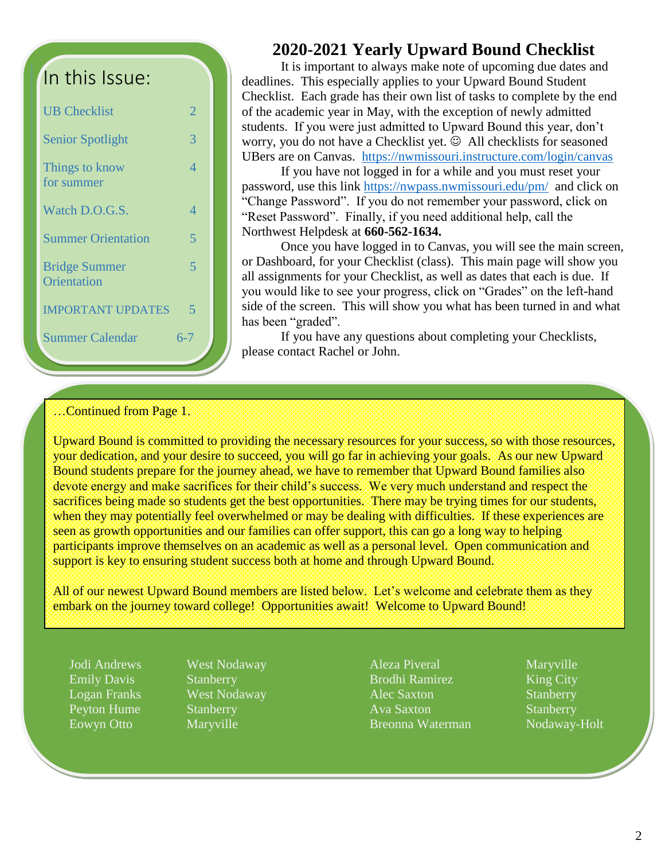## In this Issue:

| <b>UB</b> Checklist                 | フ        |
|-------------------------------------|----------|
| <b>Senior Spotlight</b>             | 3        |
| Things to know<br>for summer        | $\Delta$ |
| Watch D.O.G.S.                      | 4        |
| <b>Summer Orientation</b>           | 5        |
| <b>Bridge Summer</b><br>Orientation | 5        |
| <b>IMPORTANT UPDATES</b>            | 5        |
| <b>Summer Calendar</b>              | 6-7      |

#### **2020-2021 Yearly Upward Bound Checklist**

It is important to always make note of upcoming due dates and deadlines. This especially applies to your Upward Bound Student Checklist. Each grade has their own list of tasks to complete by the end of the academic year in May, with the exception of newly admitted students. If you were just admitted to Upward Bound this year, don't worry, you do not have a Checklist yet.  $\odot$  All checklists for seasoned UBers are on Canvas. <https://nwmissouri.instructure.com/login/canvas>

If you have not logged in for a while and you must reset your password, use this link<https://nwpass.nwmissouri.edu/pm/>and click on "Change Password". If you do not remember your password, click on "Reset Password". Finally, if you need additional help, call the Northwest Helpdesk at **660-562-1634.**

Once you have logged in to Canvas, you will see the main screen, or Dashboard, for your Checklist (class). This main page will show you all assignments for your Checklist, as well as dates that each is due. If you would like to see your progress, click on "Grades" on the left-hand side of the screen. This will show you what has been turned in and what has been "graded".

If you have any questions about completing your Checklists, please contact Rachel or John.

#### …Continued from Page 1.

Upward Bound is committed to providing the necessary resources for your success, so with those resources, your dedication, and your desire to succeed, you will go far in achieving your goals. As our new Upward Bound students prepare for the journey ahead, we have to remember that Upward Bound families also devote energy and make sacrifices for their child's success. We very much understand and respect the sacrifices being made so students get the best opportunities. There may be trying times for our students, when they may potentially feel overwhelmed or may be dealing with difficulties. If these experiences are seen as growth opportunities and our families can offer support, this can go a long way to helping participants improve themselves on an academic as well as a personal level. Open communication and support is key to ensuring student success both at home and through Upward Bound.

All of our newest Upward Bound members are listed below. Let's welcome and celebrate them as they embark on the journey toward college! Opportunities await! Welcome to Upward Bound!

Emily Davis Stanberry Peyton Hume Stanberry Eowyn Otto Maryville

Jodi Andrews West Nodaway Logan Franks West Nodaway Aleza Piveral Maryville Brodhi Ramirez King City Alec Saxton Stanberry Ava Saxton Stanberry Breonna Waterman Nodaway-Holt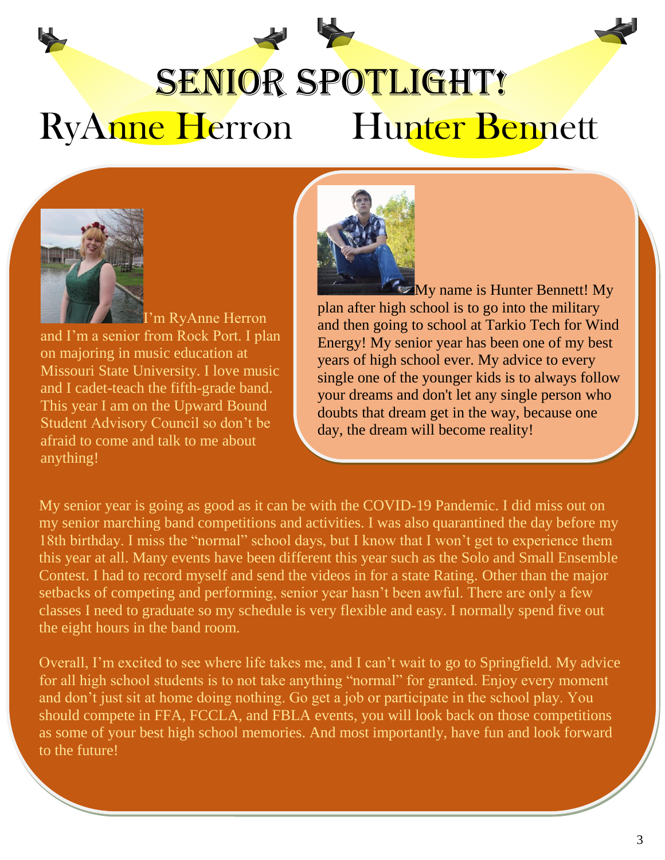# SENIOR SPOTLIGHT! RyAnne Herron Hunter Bennett



I'm RyAnne Herron and I'm a senior from Rock Port. I plan on majoring in music education at Missouri State University. I love music and I cadet-teach the fifth-grade band. This year I am on the Upward Bound Student Advisory Council so don't be afraid to come and talk to me about anything!



 $M_y$  name is Hunter Bennett! My plan after high school is to go into the military and then going to school at Tarkio Tech for Wind Energy! My senior year has been one of my best years of high school ever. My advice to every single one of the younger kids is to always follow your dreams and don't let any single person who doubts that dream get in the way, because one day, the dream will become reality!

My senior year is going as good as it can be with the COVID-19 Pandemic. I did miss out on my senior marching band competitions and activities. I was also quarantined the day before my 18th birthday. I miss the "normal" school days, but I know that I won't get to experience them this year at all. Many events have been different this year such as the Solo and Small Ensemble Contest. I had to record myself and send the videos in for a state Rating. Other than the major setbacks of competing and performing, senior year hasn't been awful. There are only a few classes I need to graduate so my schedule is very flexible and easy. I normally spend five out the eight hours in the band room.

Overall, I'm excited to see where life takes me, and I can't wait to go to Springfield. My advice for all high school students is to not take anything "normal" for granted. Enjoy every moment and don't just sit at home doing nothing. Go get a job or participate in the school play. You should compete in FFA, FCCLA, and FBLA events, you will look back on those competitions as some of your best high school memories. And most importantly, have fun and look forward to the future!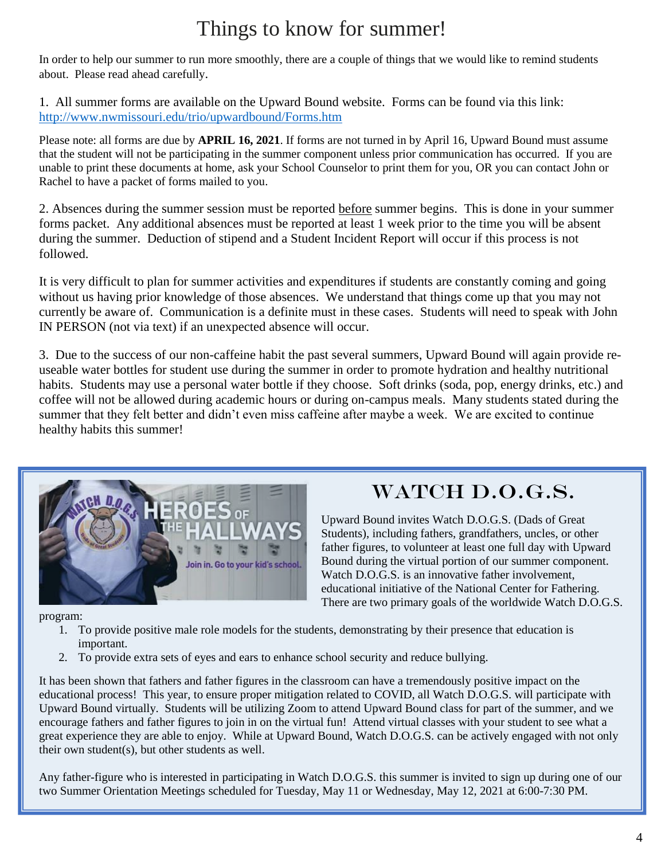## Things to know for summer!

In order to help our summer to run more smoothly, there are a couple of things that we would like to remind students about. Please read ahead carefully.

1. All summer forms are available on the Upward Bound website. Forms can be found via this link: <http://www.nwmissouri.edu/trio/upwardbound/Forms.htm>

Please note: all forms are due by **APRIL 16, 2021**. If forms are not turned in by April 16, Upward Bound must assume that the student will not be participating in the summer component unless prior communication has occurred. If you are unable to print these documents at home, ask your School Counselor to print them for you, OR you can contact John or Rachel to have a packet of forms mailed to you.

2. Absences during the summer session must be reported before summer begins. This is done in your summer forms packet. Any additional absences must be reported at least 1 week prior to the time you will be absent during the summer. Deduction of stipend and a Student Incident Report will occur if this process is not followed.

It is very difficult to plan for summer activities and expenditures if students are constantly coming and going without us having prior knowledge of those absences. We understand that things come up that you may not currently be aware of. Communication is a definite must in these cases. Students will need to speak with John IN PERSON (not via text) if an unexpected absence will occur.

3. Due to the success of our non-caffeine habit the past several summers, Upward Bound will again provide reuseable water bottles for student use during the summer in order to promote hydration and healthy nutritional habits. Students may use a personal water bottle if they choose. Soft drinks (soda, pop, energy drinks, etc.) and coffee will not be allowed during academic hours or during on-campus meals. Many students stated during the summer that they felt better and didn't even miss caffeine after maybe a week. We are excited to continue healthy habits this summer!



## WATCH D.O.G.S.

Upward Bound invites Watch D.O.G.S. (Dads of Great Students), including fathers, grandfathers, uncles, or other father figures, to volunteer at least one full day with Upward Bound during the virtual portion of our summer component. Watch D.O.G.S. is an innovative father involvement, educational initiative of the National Center for Fathering. There are two primary goals of the worldwide Watch D.O.G.S.

program:

- 1. To provide positive male role models for the students, demonstrating by their presence that education is important.
- 2. To provide extra sets of eyes and ears to enhance school security and reduce bullying.

It has been shown that fathers and father figures in the classroom can have a tremendously positive impact on the educational process! This year, to ensure proper mitigation related to COVID, all Watch D.O.G.S. will participate with Upward Bound virtually. Students will be utilizing Zoom to attend Upward Bound class for part of the summer, and we encourage fathers and father figures to join in on the virtual fun! Attend virtual classes with your student to see what a great experience they are able to enjoy. While at Upward Bound, Watch D.O.G.S. can be actively engaged with not only their own student(s), but other students as well.

Any father-figure who is interested in participating in Watch D.O.G.S. this summer is invited to sign up during one of our two Summer Orientation Meetings scheduled for Tuesday, May 11 or Wednesday, May 12, 2021 at 6:00-7:30 PM.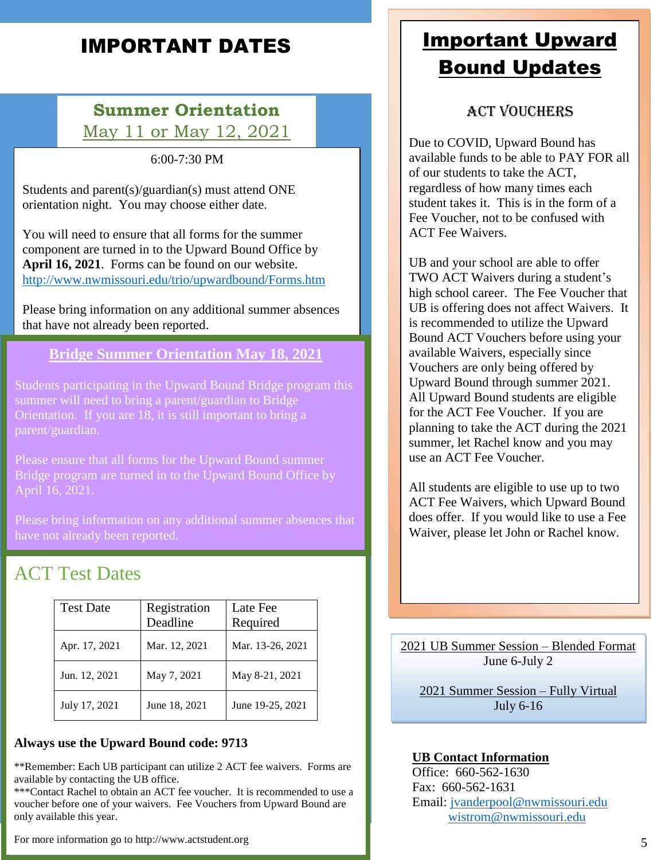## IMPORTANT DATES

#### **Summer Orientation** May 11 or May 12, 2021

6:00-7:30 PM

Students and parent(s)/guardian(s) must attend ONE orientation night. You may choose either date.

You will need to ensure that all forms for the summer component are turned in to the Upward Bound Office by **April 16, 2021**. Forms can be found on our website. <http://www.nwmissouri.edu/trio/upwardbound/Forms.htm>

Please bring information on any additional summer absences that have not already been reported.

#### **Bridge Summer Orientation May 18, 2021**

Students participating in the Upward Bound Bridge program this summer will need to bring a parent/guardian to Bridge Orientation. If you are 18, it is still important to bring a parent/guardian.

Please ensure that all forms for the Upward Bound summer Bridge program are turned in to the Upward Bound Office by April 16, 2021.

Please bring information on any additional summer absences that have not already been reported.

### ACT Test Dates

| <b>Test Date</b> | Registration<br>Deadline | Late Fee<br>Required |
|------------------|--------------------------|----------------------|
| Apr. 17, 2021    | Mar. 12, 2021            | Mar. 13-26, 2021     |
| Jun. 12, 2021    | May 7, 2021              | May 8-21, 2021       |
| July 17, 2021    | June 18, 2021            | June 19-25, 2021     |

#### **Always use the Upward Bound code: 9713**

\*\*Remember: Each UB participant can utilize 2 ACT fee waivers. Forms are available by contacting the UB office.

\*\*\*Contact Rachel to obtain an ACT fee voucher. It is recommended to use a voucher before one of your waivers. Fee Vouchers from Upward Bound are only available this year.

For more information go to http://www.actstudent.org

## Important Upward Bound Updates

#### ACT Vouchers

Due to COVID, Upward Bound has available funds to be able to PAY FOR all of our students to take the ACT, regardless of how many times each student takes it. This is in the form of a Fee Voucher, not to be confused with ACT Fee Waivers.

UB and your school are able to offer TWO ACT Waivers during a student's high school career. The Fee Voucher that UB is offering does not affect Waivers. It is recommended to utilize the Upward Bound ACT Vouchers before using your available Waivers, especially since Vouchers are only being offered by Upward Bound through summer 2021. All Upward Bound students are eligible for the ACT Fee Voucher. If you are planning to take the ACT during the 2021 summer, let Rachel know and you may use an ACT Fee Voucher.

All students are eligible to use up to two ACT Fee Waivers, which Upward Bound does offer. If you would like to use a Fee Waiver, please let John or Rachel know.

2021 UB Summer Session – Blended Format June 6-July 2

2021 Summer Session – Fully Virtual July 6-16

#### **UB Contact Information**

Office: 660-562-1630 Fax: 660-562-1631 Email: [jvanderpool@nwmissouri.edu](mailto:jvanderpool@nwmissouri.edu) [wistrom@nwmissouri.edu](mailto:wistrom@nwmissouri.edu)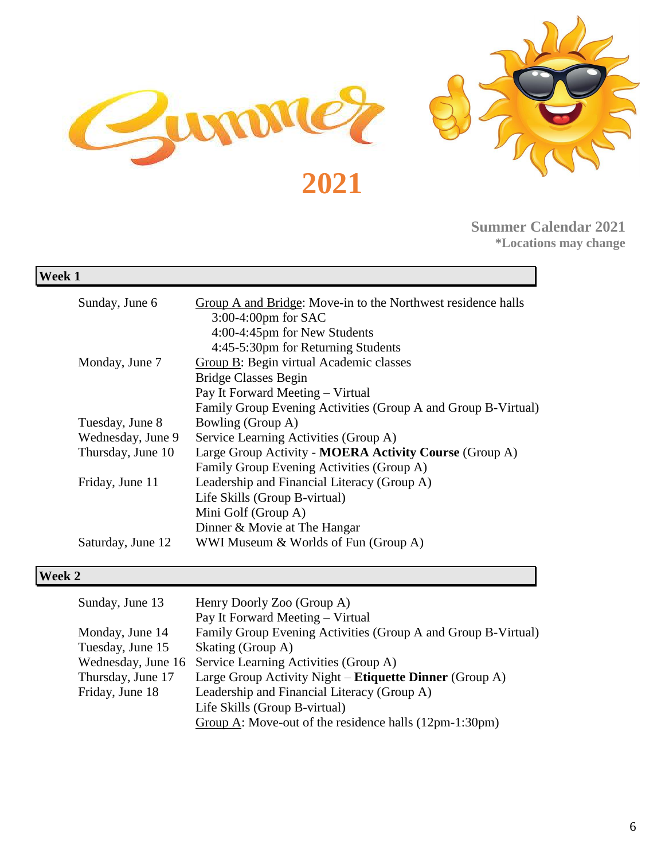

**Summer Calendar 2021 \*Locations may change**

| Week 1            |                                                               |
|-------------------|---------------------------------------------------------------|
| Sunday, June 6    | Group A and Bridge: Move-in to the Northwest residence halls  |
|                   | $3:00-4:00$ pm for SAC                                        |
|                   | 4:00-4:45pm for New Students                                  |
|                   | 4:45-5:30pm for Returning Students                            |
| Monday, June 7    | Group B: Begin virtual Academic classes                       |
|                   | <b>Bridge Classes Begin</b>                                   |
|                   | Pay It Forward Meeting – Virtual                              |
|                   | Family Group Evening Activities (Group A and Group B-Virtual) |
| Tuesday, June 8   | Bowling (Group A)                                             |
| Wednesday, June 9 | Service Learning Activities (Group A)                         |
| Thursday, June 10 | Large Group Activity - MOERA Activity Course (Group A)        |
|                   | Family Group Evening Activities (Group A)                     |
| Friday, June 11   | Leadership and Financial Literacy (Group A)                   |
|                   | Life Skills (Group B-virtual)                                 |
|                   | Mini Golf (Group A)                                           |
|                   | Dinner & Movie at The Hangar                                  |
| Saturday, June 12 | WWI Museum & Worlds of Fun (Group A)                          |

#### **Week 2**

| Sunday, June 13    | Henry Doorly Zoo (Group A)                                           |
|--------------------|----------------------------------------------------------------------|
|                    | Pay It Forward Meeting – Virtual                                     |
| Monday, June 14    | Family Group Evening Activities (Group A and Group B-Virtual)        |
| Tuesday, June 15   | Skating (Group A)                                                    |
| Wednesday, June 16 | Service Learning Activities (Group A)                                |
| Thursday, June 17  | Large Group Activity Night – Etiquette Dinner (Group A)              |
| Friday, June 18    | Leadership and Financial Literacy (Group A)                          |
|                    | Life Skills (Group B-virtual)                                        |
|                    | Group $\overline{A}$ : Move-out of the residence halls (12pm-1:30pm) |